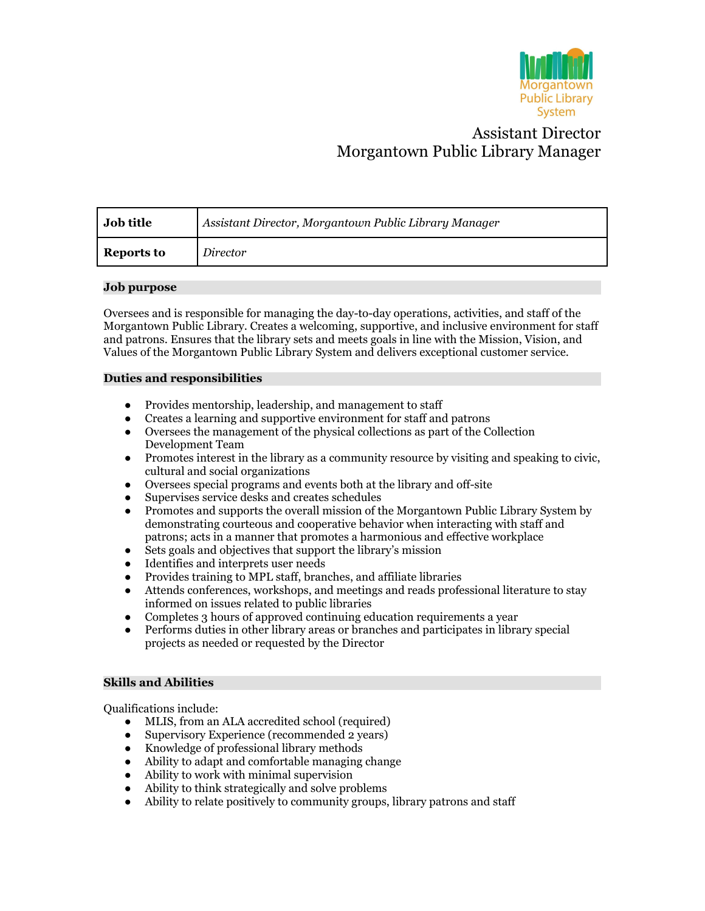

# Assistant Director Morgantown Public Library Manager

| Job title         | Assistant Director, Morgantown Public Library Manager |
|-------------------|-------------------------------------------------------|
| <b>Reports to</b> | Director                                              |

#### **Job purpose**

Oversees and is responsible for managing the day-to-day operations, activities, and staff of the Morgantown Public Library. Creates a welcoming, supportive, and inclusive environment for staff and patrons. Ensures that the library sets and meets goals in line with the Mission, Vision, and Values of the Morgantown Public Library System and delivers exceptional customer service.

#### **Duties and responsibilities**

- Provides mentorship, leadership, and management to staff
- Creates a learning and supportive environment for staff and patrons
- Oversees the management of the physical collections as part of the Collection Development Team
- Promotes interest in the library as a community resource by visiting and speaking to civic, cultural and social organizations
- Oversees special programs and events both at the library and off-site
- Supervises service desks and creates schedules
- Promotes and supports the overall mission of the Morgantown Public Library System by demonstrating courteous and cooperative behavior when interacting with staff and patrons; acts in a manner that promotes a harmonious and effective workplace
- Sets goals and objectives that support the library's mission
- Identifies and interprets user needs<br>• Provides training to MPL staff, bran
- Provides training to MPL staff, branches, and affiliate libraries
- Attends conferences, workshops, and meetings and reads professional literature to stay informed on issues related to public libraries
- Completes 3 hours of approved continuing education requirements a year
- Performs duties in other library areas or branches and participates in library special projects as needed or requested by the Director

## **Skills and Abilities**

Qualifications include:

- MLIS, from an ALA accredited school (required)
- Supervisory Experience (recommended 2 years)
- Knowledge of professional library methods
- Ability to adapt and comfortable managing change
- Ability to work with minimal supervision
- Ability to think strategically and solve problems
- Ability to relate positively to community groups, library patrons and staff